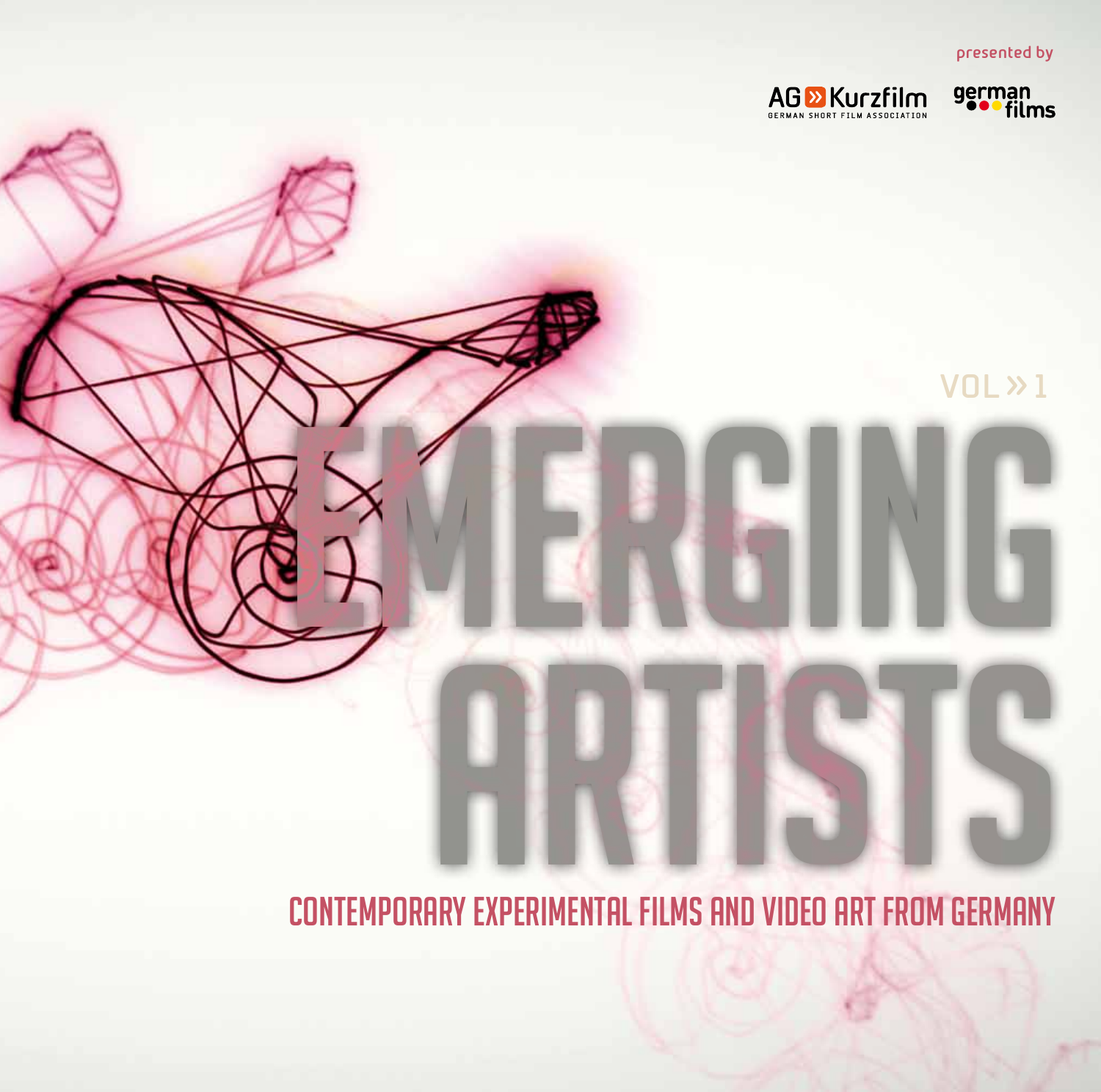



 $VOL \n\ge 1$ 

# EMERGING **ARTISTS**

Contemporary Experimental Films and Video Art From Germany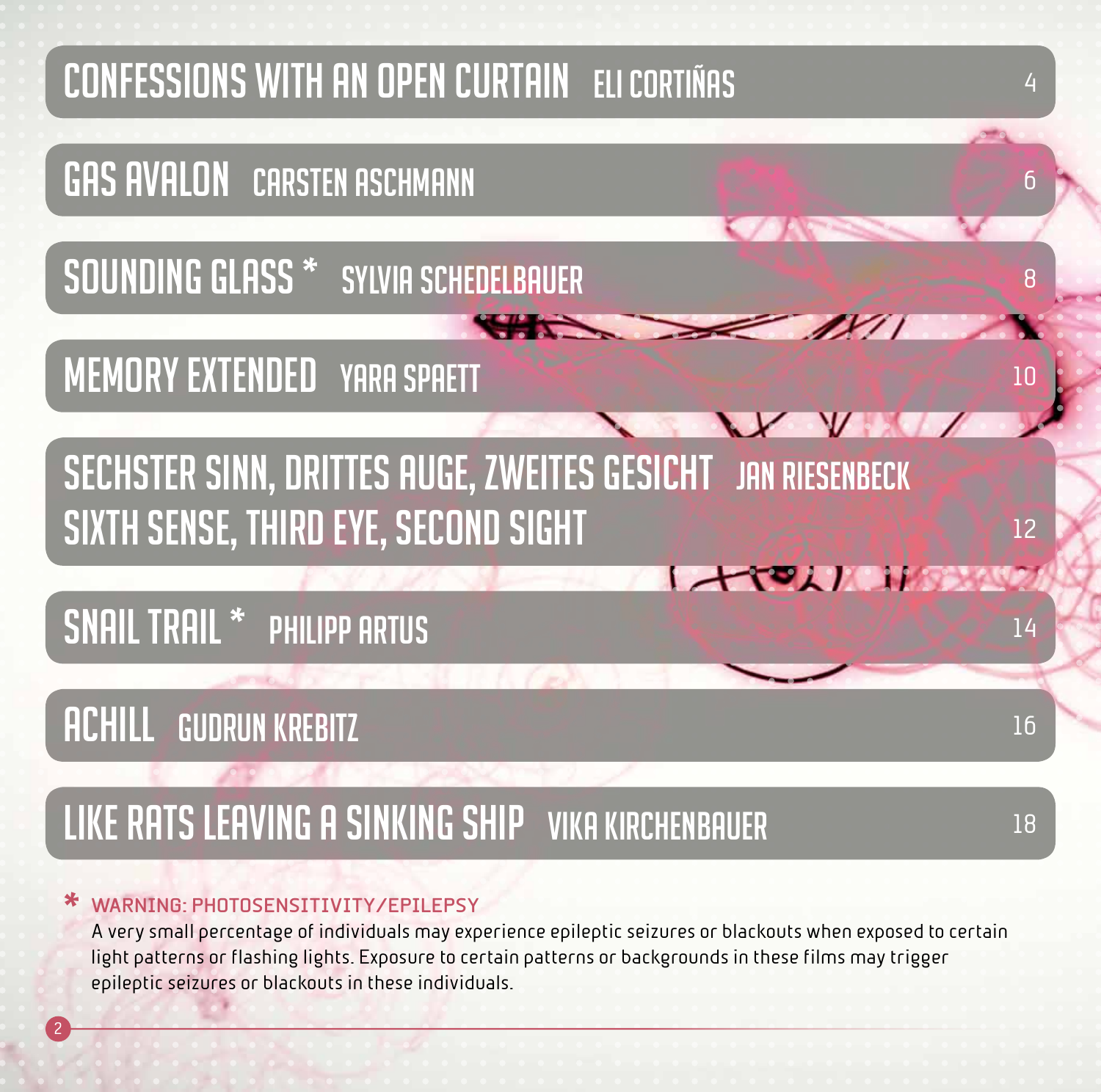

### **WARNING: PHOTOSENSITIVITY/EPILEPSY**

 A very small percentage of individuals may experience epileptic seizures or blackouts when exposed to certain light patterns or flashing lights. Exposure to certain patterns or backgrounds in these films may trigger epileptic seizures or blackouts in these individuals.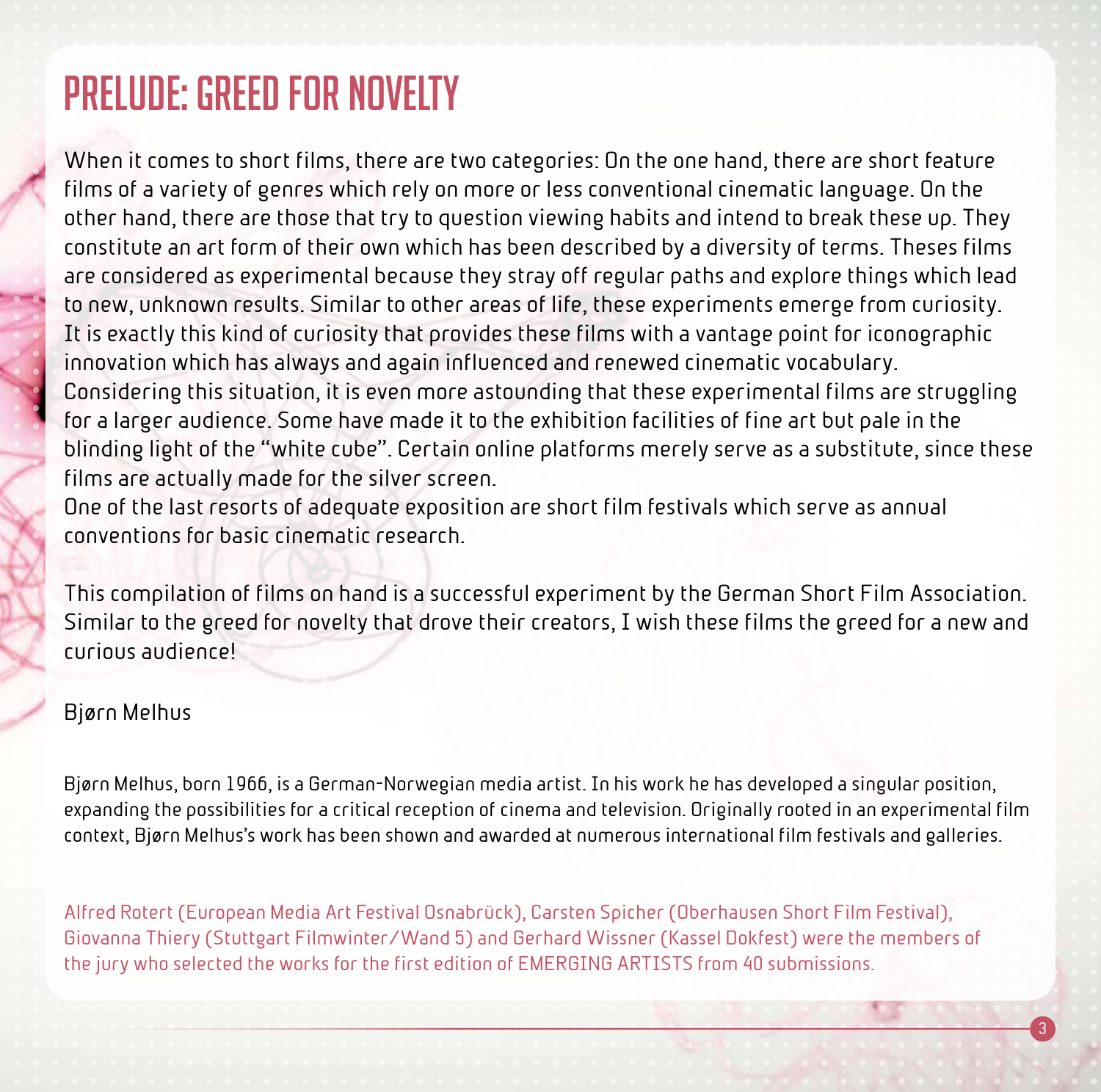### prelude: Greed for Novelty

When it comes to short films, there are two categories: On the one hand, there are short feature films of a variety of genres which rely on more or less conventional cinematic language. On the other hand, there are those that try to question viewing habits and intend to break these up. They constitute an art form of their own which has been described by a diversity of terms. Theses films are considered as experimental because they stray off regular paths and explore things which lead to new, unknown results. Similar to other areas of life, these experiments emerge from curiosity. It is exactly this kind of curiosity that provides these films with a vantage point for iconographic innovation which has always and again influenced and renewed cinematic vocabulary. Considering this situation, it is even more astounding that these experimental films are struggling for a larger audience. Some have made it to the exhibition facilities of fine art but pale in the blinding light of the "white cube". Certain online platforms merely serve as a substitute, since these films are actually made for the silver screen.

One of the last resorts of adequate exposition are short film festivals which serve as annual conventions for basic cinematic research.

This compilation of films on hand is a successful experiment by the German Short Film Association. Similar to the greed for novelty that drove their creators, I wish these films the greed for a new and curious audience!

### Bjørn Melhus

Bjørn Melhus, born 1966, is a German-Norwegian media artist. In his work he has developed a singular position, expanding the possibilities for a critical reception of cinema and television. Originally rooted in an experimental film context, Bjørn Melhus's work has been shown and awarded at numerous international film festivals and galleries.

Alfred Rotert (European Media Art Festival Osnabrück), Carsten Spicher (Oberhausen Short Film Festival), Giovanna Thiery (Stutteart Filmwinter/Wand 5) and Gerhard Wissner (Kassel Dokfest) were the members of the jury who selected the works for the first edition of EMERGING ARTISTS from 40 submissions.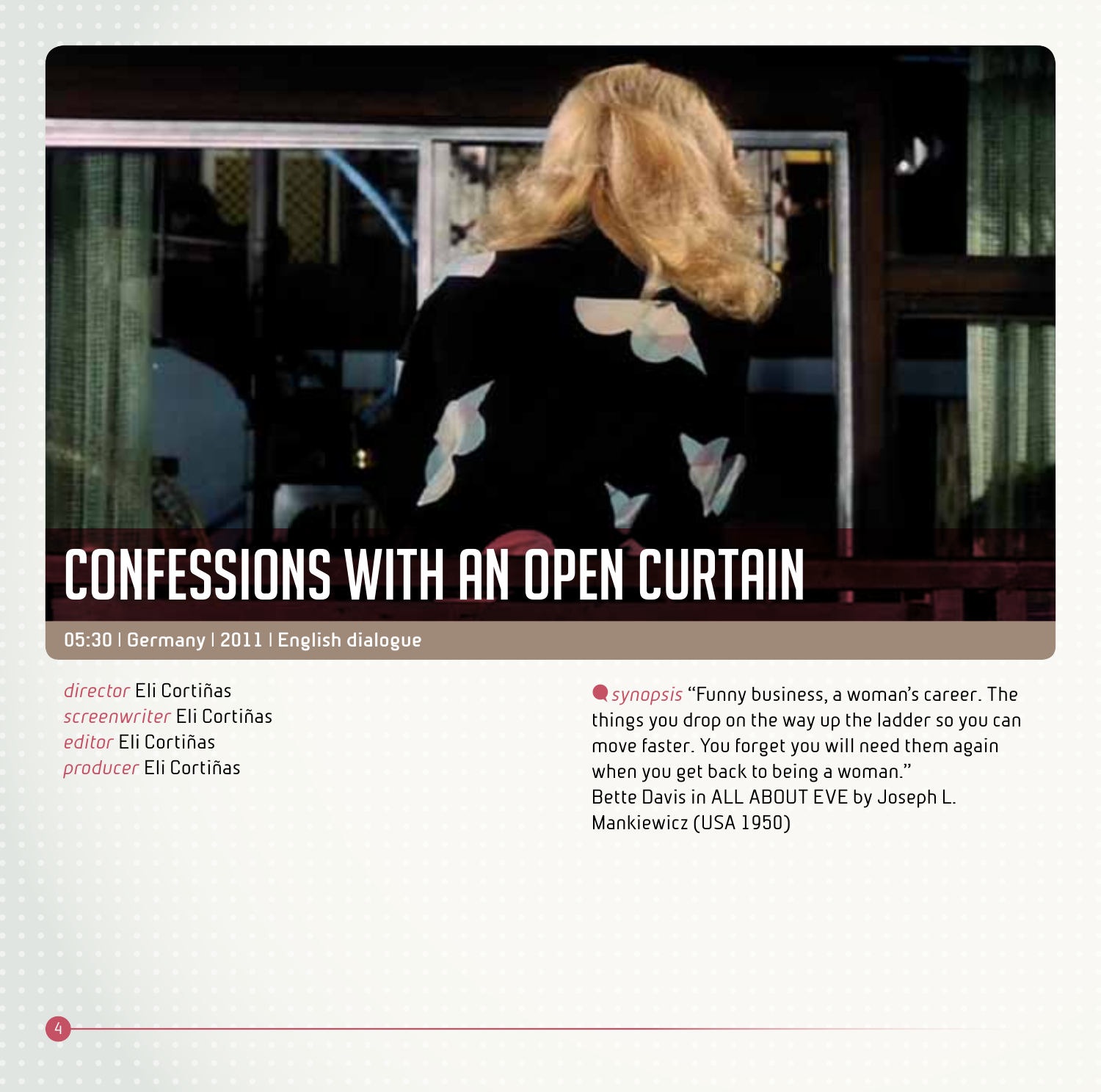## CONFESSIONS WITH AN OPEN CURTAIN

### **05:30** | **Germany** | **2011** | **English dialogue**

director Eli Cortiñas screenwriter Eli Cortiñas editor Eli Cortiñas producer Eli Cortiñas

**Q** synopsis "Funny business, a woman's career. The things you drop on the way up the ladder so you can move faster. You forget you will need them again when you get back to being a woman." Bette Davis in ALL ABOUT EVE by Joseph L. Mankiewicz (USA 1950)

4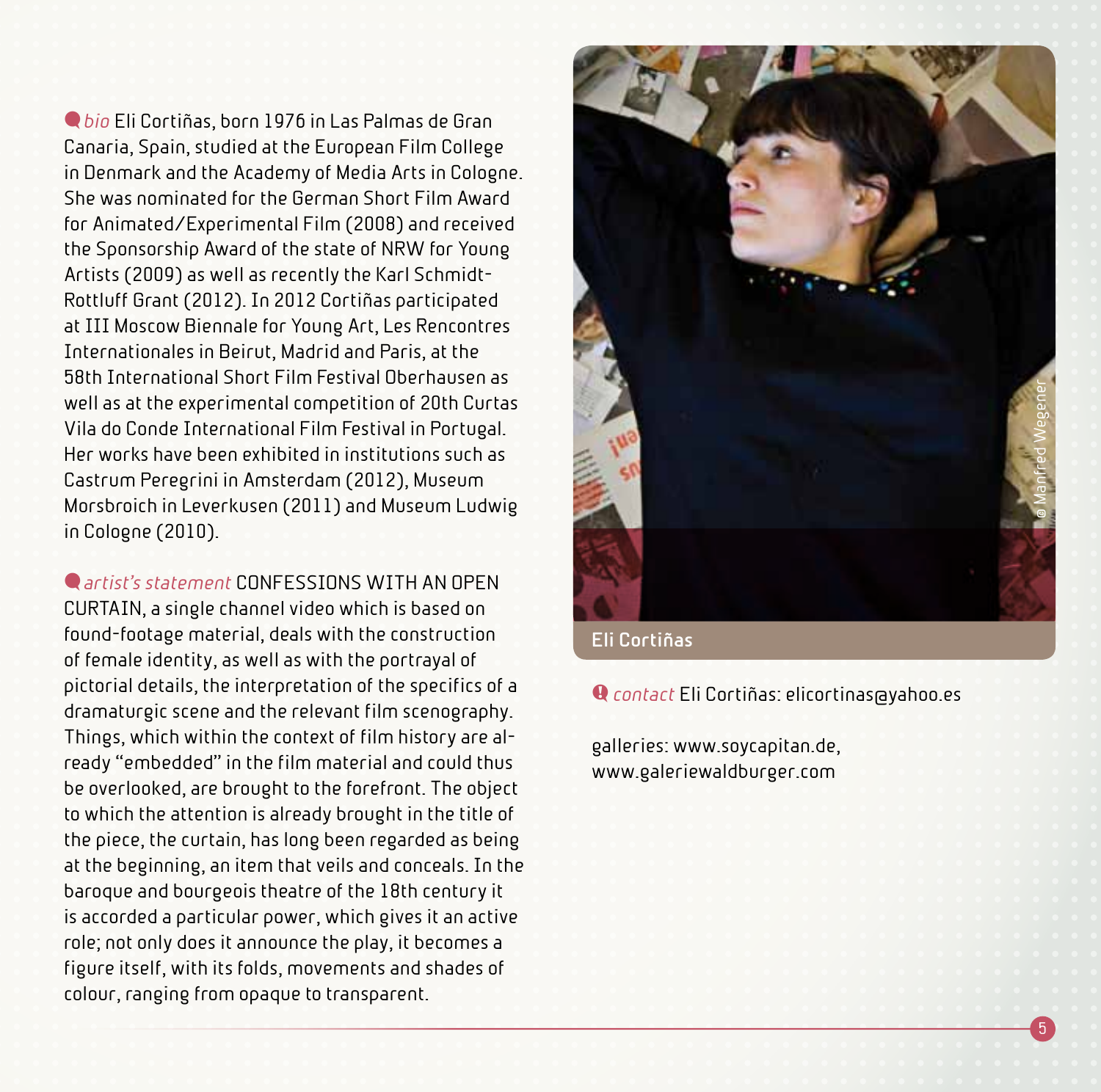dbio Eli Cortiñas, born 1976 in Las Palmas de Gran Canaria, Spain, studied at the European Film College in Denmark and the Academy of Media Arts in Cologne. She was nominated for the German Short Film Award for Animated/Experimental Film (2008) and received the Sponsorship Award of the state of NRW for Young Artists (2009) as well as recently the Karl Schmidt-Rottluff Grant (2012). In 2012 Cortiñas participated at III Moscow Biennale for Young Art, Les Rencontres Internationales in Beirut, Madrid and Paris, at the 58th International Short Film Festival Oberhausen as well as at the experimental competition of 20th Curtas Vila do Conde International Film Festival in Portugal. Her works have been exhibited in institutions such as Castrum Peregrini in Amsterdam (2012), Museum Morsbroich in Leverkusen (2011) and Museum Ludwig in Cologne (2010).

**Cartist's statement CONFESSIONS WITH AN OPEN** CURTAIN, a single channel video which is based on found-footage material, deals with the construction of female identity, as well as with the portrayal of pictorial details, the interpretation of the specifics of a dramaturgic scene and the relevant film scenography. Things, which within the context of film history are already "embedded" in the film material and could thus be overlooked, are brought to the forefront. The object to which the attention is already brought in the title of the piece, the curtain, has long been regarded as being at the beginning, an item that veils and conceals. In the baroque and bourgeois theatre of the 18th century it is accorded a particular power, which gives it an active role; not only does it announce the play, it becomes a figure itself, with its folds, movements and shades of colour, ranging from opaque to transparent.



#### **Q** contact Eli Cortiñas: elicortinas ayahoo.es

galleries: www.soycapitan.de, www.galeriewaldburger.com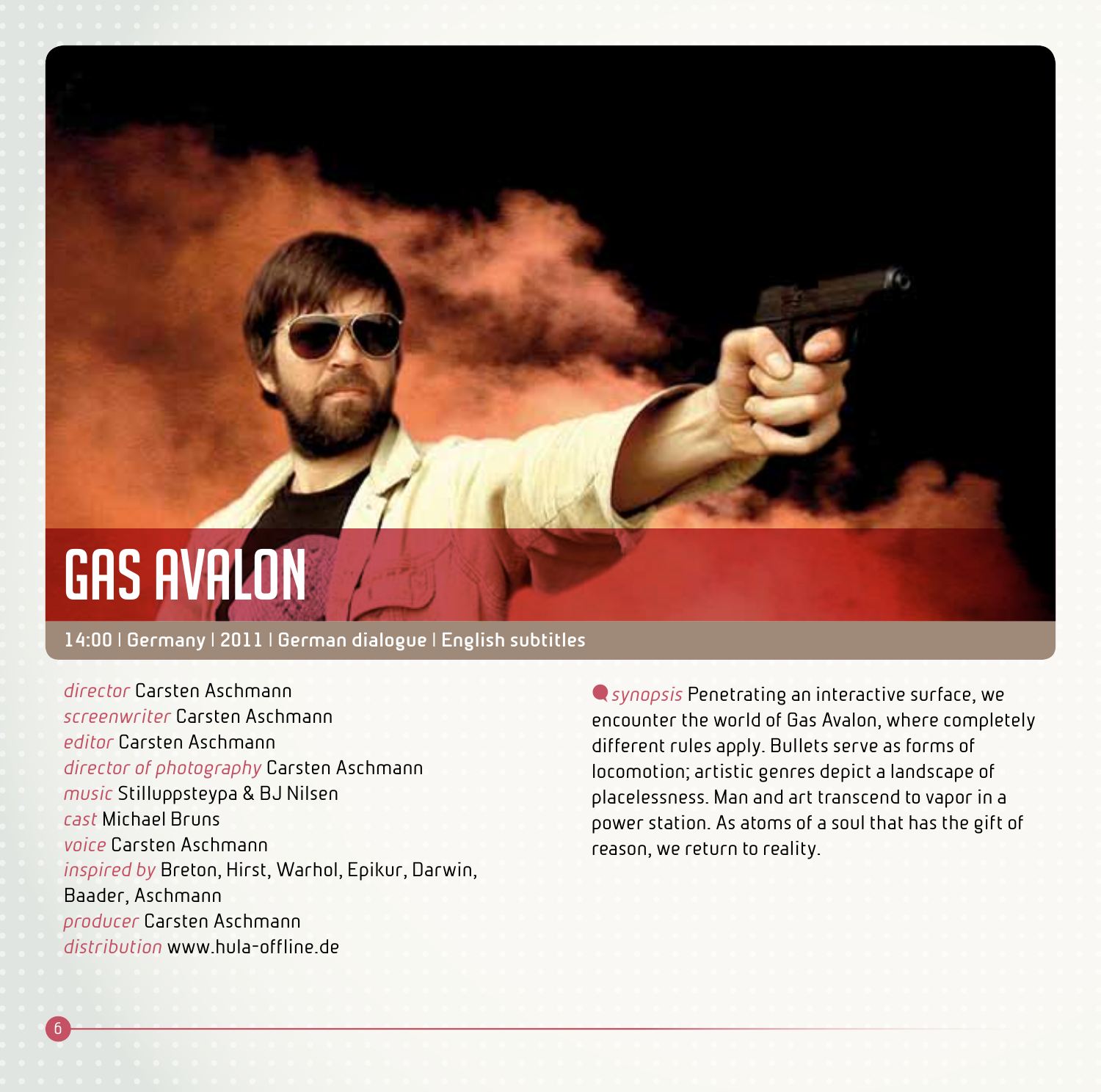### GAS AVALON

**14:00** | **Germany** | **2011** | **German dialogue** | **English subtitles**

director Carsten Aschmann screenwriter Carsten Aschmann editor Carsten Aschmann director of photography Carsten Aschmann music Stilluppsteypa & BJ Nilsen cast Michael Bruns voice Carsten Aschmann inspired by Breton, Hirst, Warhol, Epikur, Darwin, Baader, Aschmann producer Carsten Aschmann distribution www.hula-offline.de

**Q** synopsis Penetrating an interactive surface, we encounter the world of Gas Avalon, where completely different rules apply. Bullets serve as forms of locomotion; artistic genres depict a landscape of placelessness. Man and art transcend to vapor in a power station. As atoms of a soul that has the gift of reason, we return to reality.

fκ.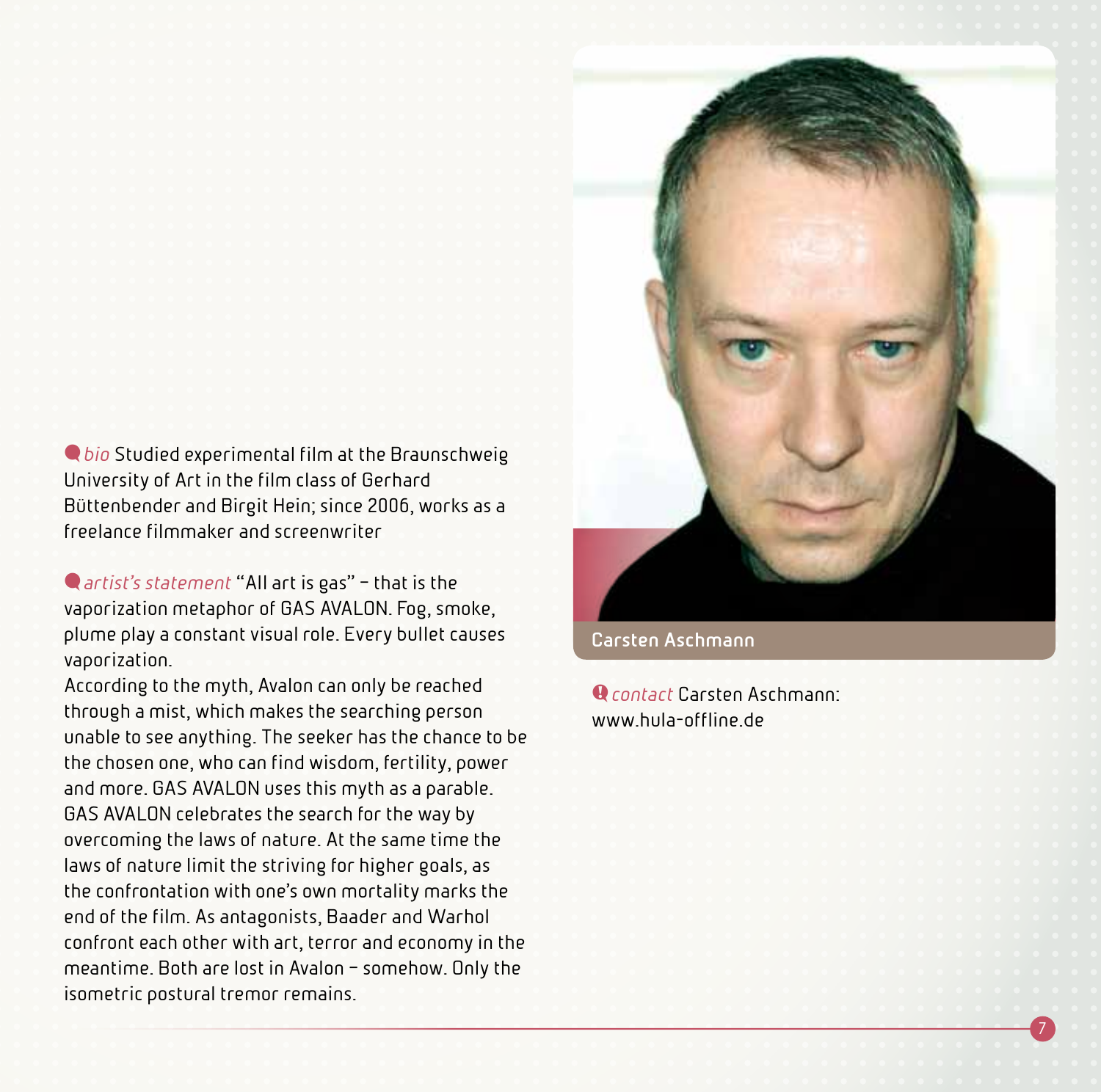$\bullet$  bio Studied experimental film at the Braunschweig University of Art in the film class of Gerhard Büttenbender and Birgit Hein; since 2006, works as a freelance filmmaker and screenwriter

dartist's statement "All art is gas" – that is the vaporization metaphor of GAS AVALON. Fog, smoke, plume play a constant visual role. Every bullet causes vaporization.

According to the myth, Avalon can only be reached through a mist, which makes the searching person unable to see anything. The seeker has the chance to be the chosen one, who can find wisdom, fertility, power and more. GAS AVALON uses this myth as a parable. GAS AVALON celebrates the search for the way by overcoming the laws of nature. At the same time the laws of nature limit the striving for higher goals, as the confrontation with one's own mortality marks the end of the film. As antagonists, Baader and Warhol confront each other with art, terror and economy in the meantime. Both are lost in Avalon – somehow. Only the isometric postural tremor remains.



**Q** contact Carsten Aschmann: www.hula-offline.de

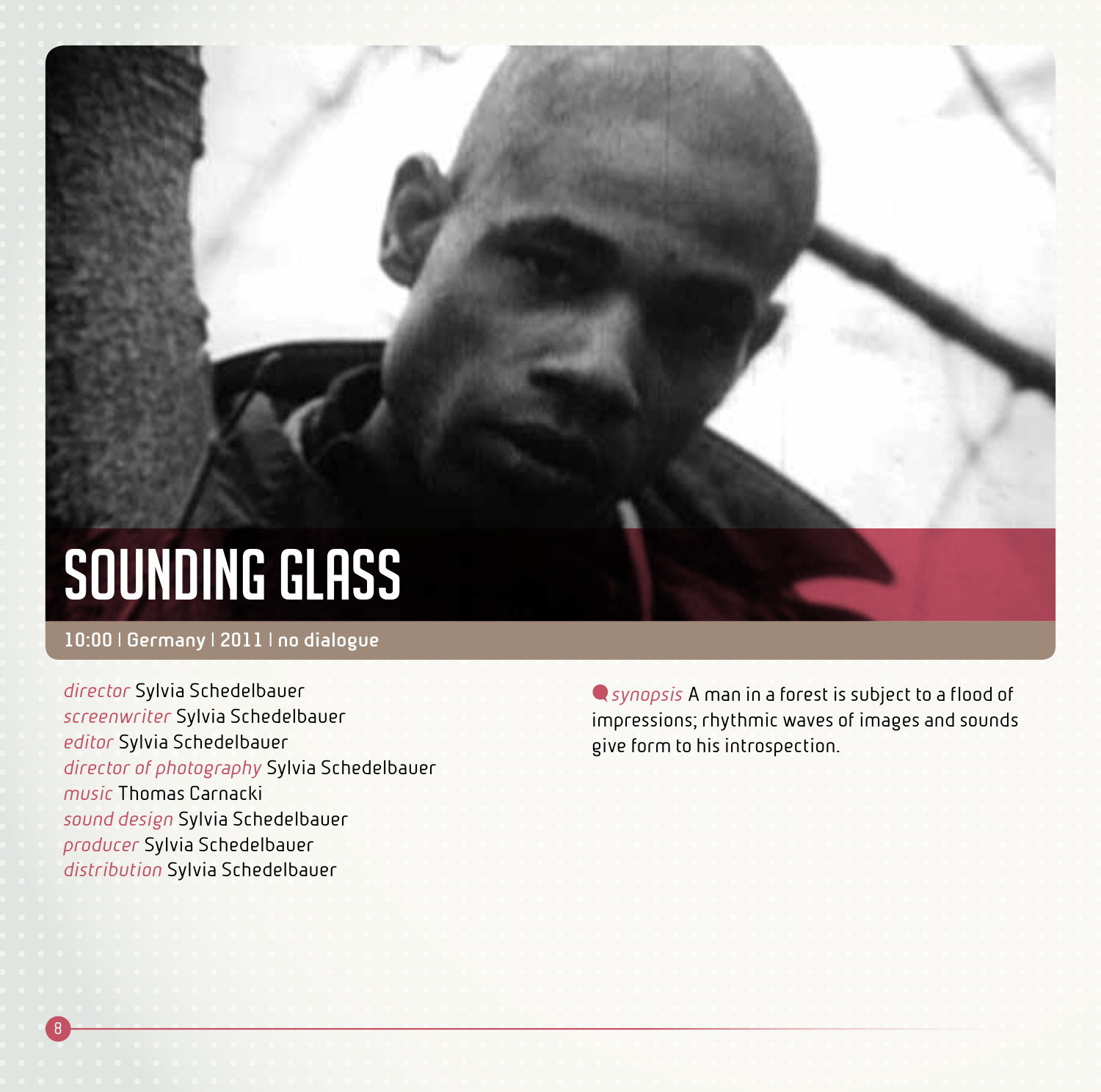### Sounding Glass

### **10:00** | **Germany** | **2011** | **no dialogue**

director Sylvia Schedelbauer screenwriter Sylvia Schedelbauer editor Sylvia Schedelbauer director of photography Sylvia Schedelbauer music Thomas Carnacki sound design Sylvia Schedelbauer producer Sylvia Schedelbauer distribution Sylvia Schedelbauer

**Q** synopsis A man in a forest is subject to a flood of impressions; rhythmic waves of images and sounds give form to his introspection.

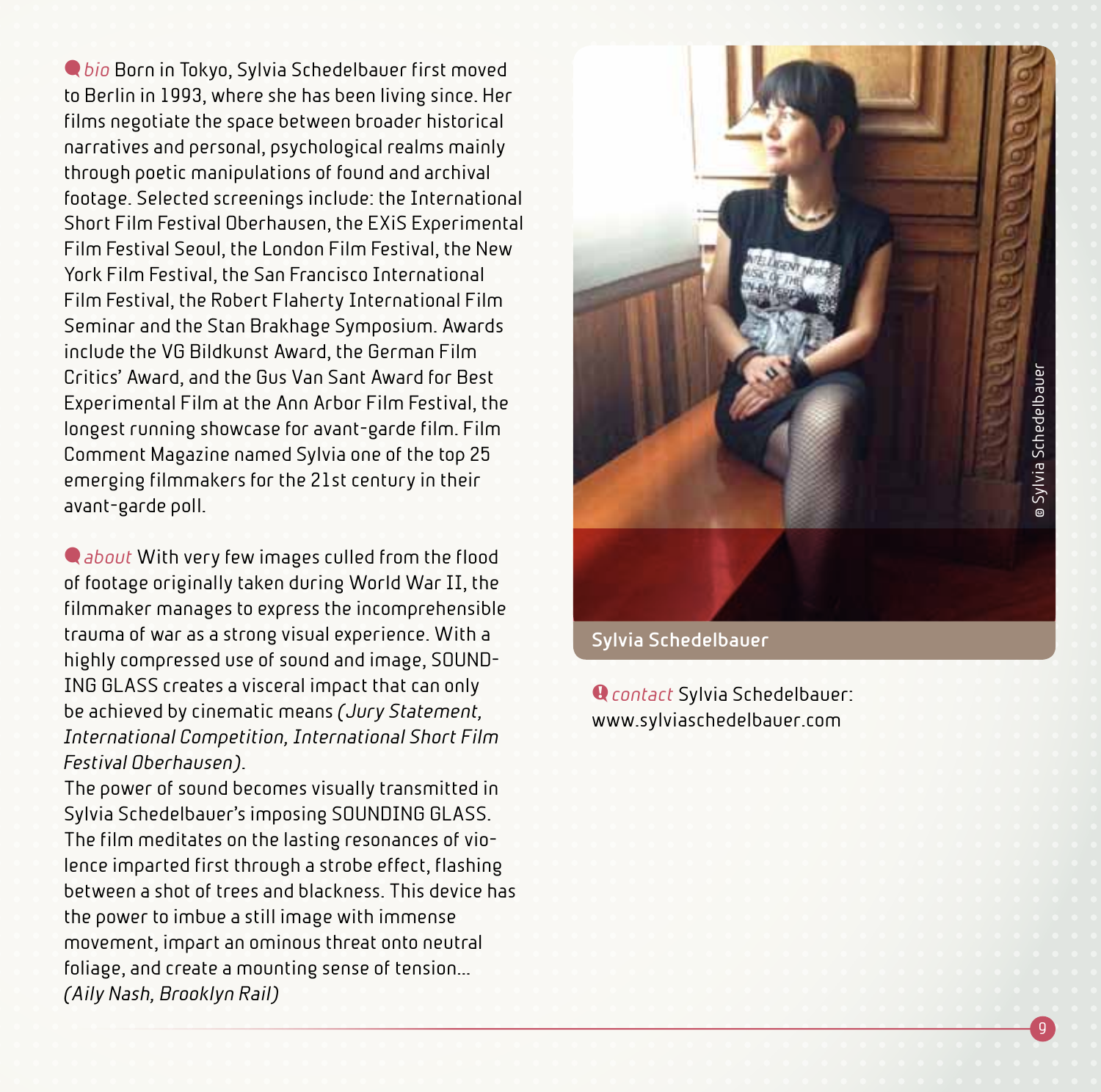$\bullet$  bio Born in Tokyo, Sylvia Schedelbauer first moved to Berlin in 1993, where she has been living since. Her films negotiate the space between broader historical narratives and personal, psychological realms mainly through poetic manipulations of found and archival footage. Selected screenings include: the International Short Film Festival Oberhausen, the EXiS Experimental Film Festival Seoul, the London Film Festival, the New York Film Festival, the San Francisco International Film Festival, the Robert Flaherty International Film Seminar and the Stan Brakhage Symposium. Awards include the VG Bildkunst Award, the German Film Critics' Award, and the Gus Van Sant Award for Best Experimental Film at the Ann Arbor Film Festival, the longest running showcase for avant-garde film. Film Comment Magazine named Sylvia one of the top 25 emerging filmmakers for the 21st century in their avant-garde poll.

**Q** about With very few images culled from the flood of footage originally taken during World War II, the filmmaker manages to express the incomprehensible trauma of war as a strong visual experience. With a highly compressed use of sound and image, Sound-ING GLASS creates a visceral impact that can only be achieved by cinematic means (Jury Statement, International Competition, International Short Film Festival Oberhausen).

The power of sound becomes visually transmitted in Sylvia Schedelbauer's imposing SOUNDING GLASS. The film meditates on the lasting resonances of violence imparted first through a strobe effect, flashing between a shot of trees and blackness. This device has the power to imbue a still image with immense movement, impart an ominous threat onto neutral foliage, and create a mounting sense of tension... (Aily Nash, Brooklyn Rail)



**Sylvia Schedelbauer**

**Q** contact Sylvia Schedelbauer: www.sylviaschedelbauer.com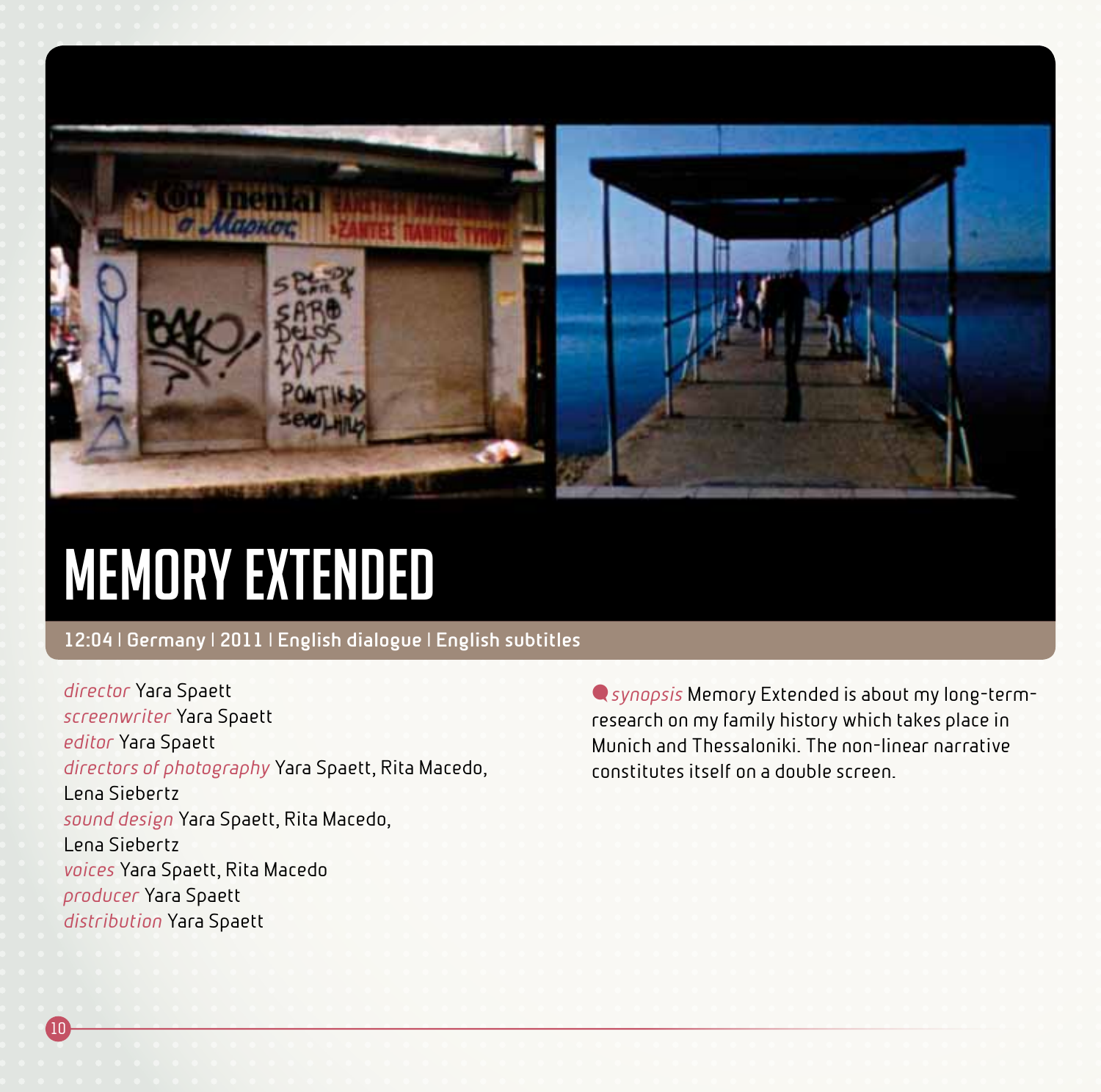

### Memory Extended

### **12:04** | **Germany** | **2011** | **English dialogue** | **English subtitles**

director Yara Spaett screenwriter Yara Spaett editor Yara Spaett directors of photography Yara Spaett, Rita Macedo, Lena Siebertz sound design Yara Spaett, Rita Macedo, Lena Siebertz voices Yara Spaett, Rita Macedo producer Yara Spaett distribution Yara Spaett

dsynopsis Memory Extended is about my long-termresearch on my family history which takes place in Munich and Thessaloniki. The non-linear narrative constitutes itself on a double screen.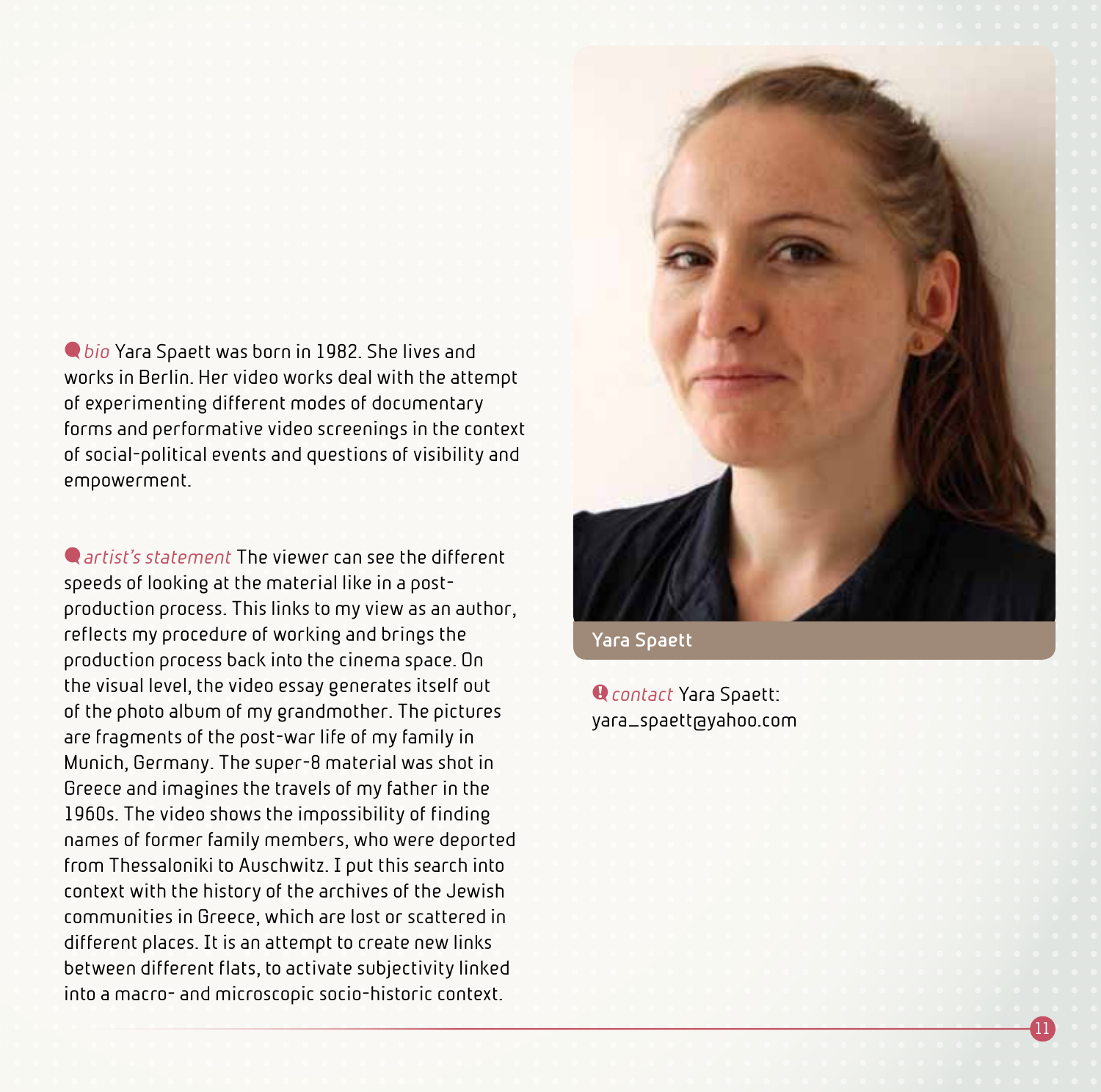$\bigcirc$  bio Yara Spaett was born in 1982. She lives and works in Berlin. Her video works deal with the attempt of experimenting different modes of documentary forms and performative video screenings in the context of social-political events and questions of visibility and empowerment.

 $\bullet$  actist's statement The viewer can see the different speeds of looking at the material like in a postproduction process. This links to my view as an author, reflects my procedure of working and brings the production process back into the cinema space. On the visual level, the video essay generates itself out of the photo album of my grandmother. The pictures are fragments of the post-war life of my family in Munich, Germany. The super-8 material was shot in Greece and imagines the travels of my father in the 1960s. The video shows the impossibility of finding names of former family members, who were deported from Thessaloniki to Auschwitz. I put this search into context with the history of the archives of the Jewish communities in Greece, which are lost or scattered in different places. It is an attempt to create new links between different flats, to activate subjectivity linked into a macro- and microscopic socio-historic context.



**Yara Spaett**

**Q** contact Yara Spaett: yara\_spaett@yahoo.com

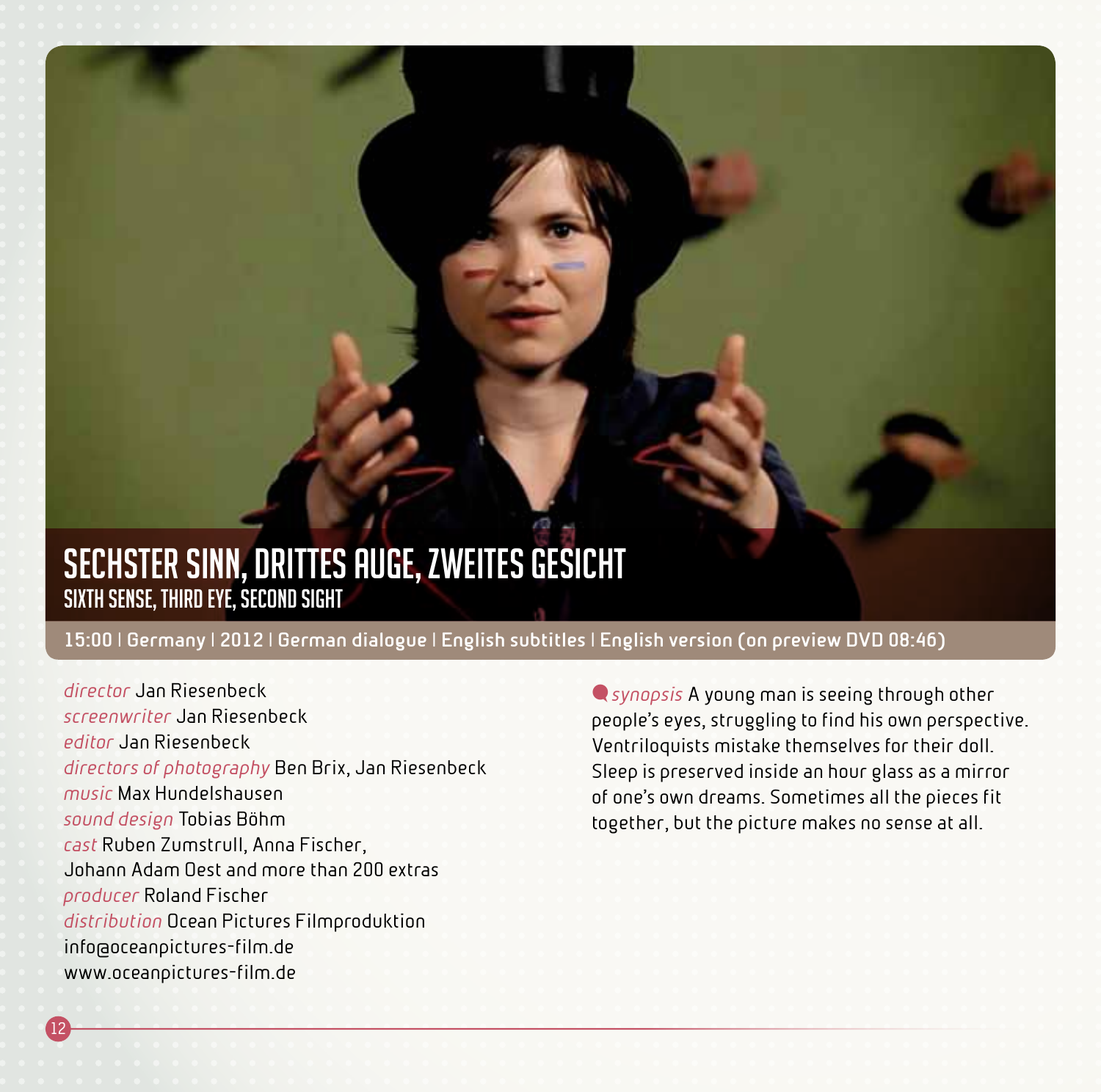### SECHSTER SINN, DRITTES AUGE, ZWEITES GESICHT SIXTH SENSE, THIRD EYE, SECOND SIGHT

**15:00** | **Germany** | **2012** | **German dialogue** | **English subtitles** | **English version (on preview DVD 08:46)**

director Jan Riesenbeck screenwriter Jan Riesenbeck editor Jan Riesenbeck directors of photography Ben Brix, Jan Riesenbeck music Max Hundelshausen sound design Tobias Böhm cast Ruben Zumstrull, Anna Fischer, Johann Adam Oest and more than 200 extras producer Roland Fischer distribution Ocean Pictures Filmproduktion info@oceanpictures-film.de www.oceanpictures-film.de

**Q** synopsis A young man is seeing through other people's eyes, struggling to find his own perspective. Ventriloquists mistake themselves for their doll. Sleep is preserved inside an hour glass as a mirror of one's own dreams. Sometimes all the pieces fit together, but the picture makes no sense at all.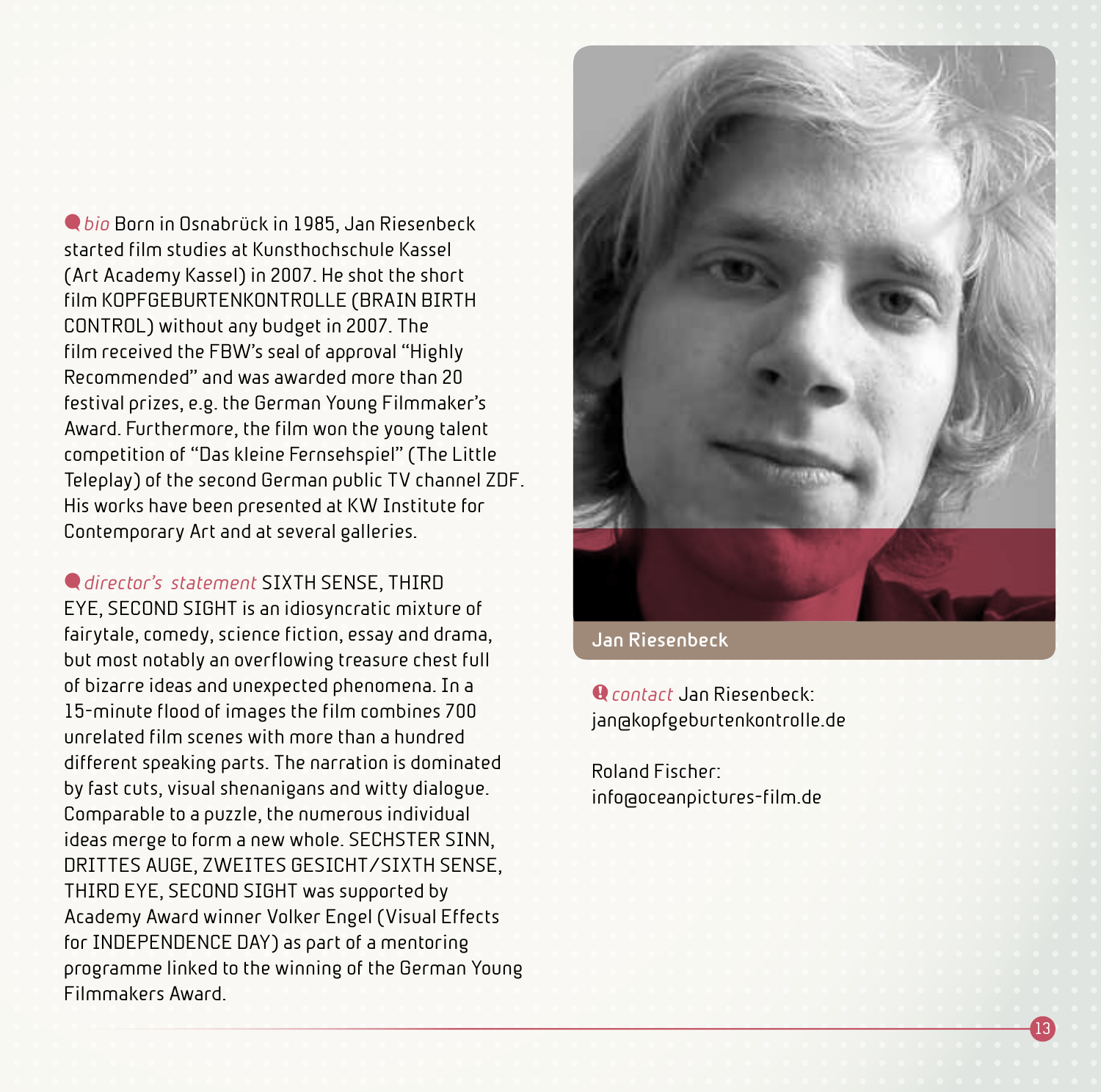dbio Born in Osnabrück in 1985, Jan Riesenbeck started film studies at Kunsthochschule Kassel (Art Academy Kassel) in 2007. He shot the short film KOPFGEBURTENKONTROLLE (BRAIN BIRTH CONTROL) without any budget in 2007. The film received the FBW's seal of approval "Highly Recommended" and was awarded more than 20 festival prizes, e.g. the German Young Filmmaker's Award. Furthermore, the film won the young talent competition of "Das kleine Fernsehspiel" (The Little Teleplay) of the second German public TV channel ZDF. His works have been presented at KW Institute for Contemporary Art and at several galleries.

 $\bullet$  director's statement SIXTH SENSE, THIRD EYE, SECOND SIGHT is an idiosyncratic mixture of fairytale, comedy, science fiction, essay and drama, but most notably an overflowing treasure chest full of bizarre ideas and unexpected phenomena. In a 15-minute flood of images the film combines 700 unrelated film scenes with more than a hundred different speaking parts. The narration is dominated by fast cuts, visual shenanigans and witty dialogue. Comparable to a puzzle, the numerous individual ideas merge to form a new whole. SECHSTER SINN, DRITTES AUGE, ZWEITES GESICHT/SIXTH SENSE, THIRD EYE, SECOND SIGHT was supported by Academy Award winner Volker Engel (Visual Effects for Independence Day) as part of a mentoring programme linked to the winning of the German Young Filmmakers Award.



**Q** contact Jan Riesenbeck:

jan@kopfgeburtenkontrolle.de

Roland Fischer: info@oceanpictures-film.de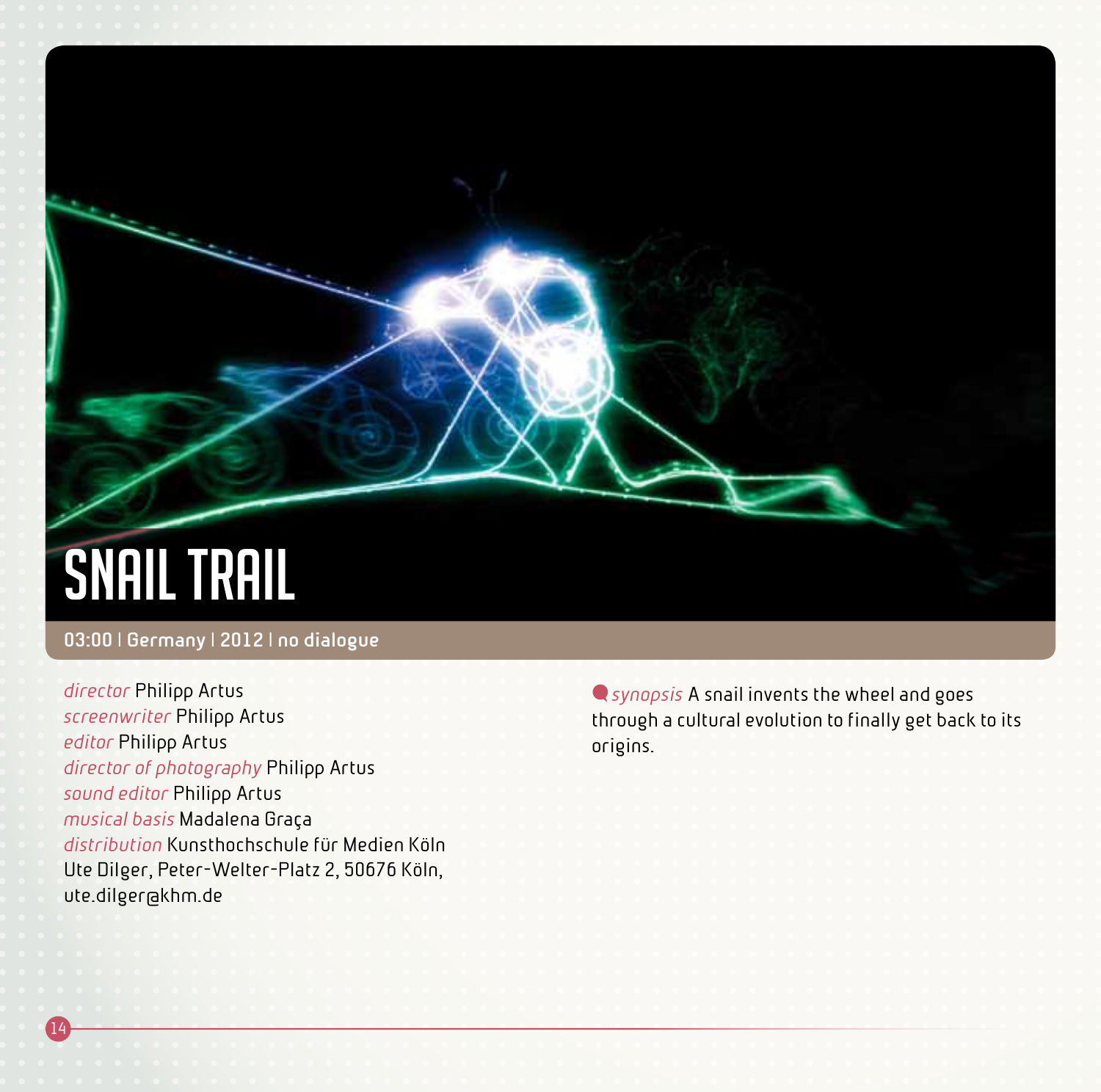

### **03:00** | **Germany** | **2012** | **no dialogue**

14

director Philipp Artus screenwriter Philipp Artus editor Philipp Artus director of photography Philipp Artus sound editor Philipp Artus musical basis Madalena Graça distribution Kunsthochschule für Medien Köln Ute Dilger, Peter-Welter-Platz 2, 50676 Köln, ute.dilger@khm.de

**Q** synopsis A snail invents the wheel and goes through a cultural evolution to finally get back to its origins.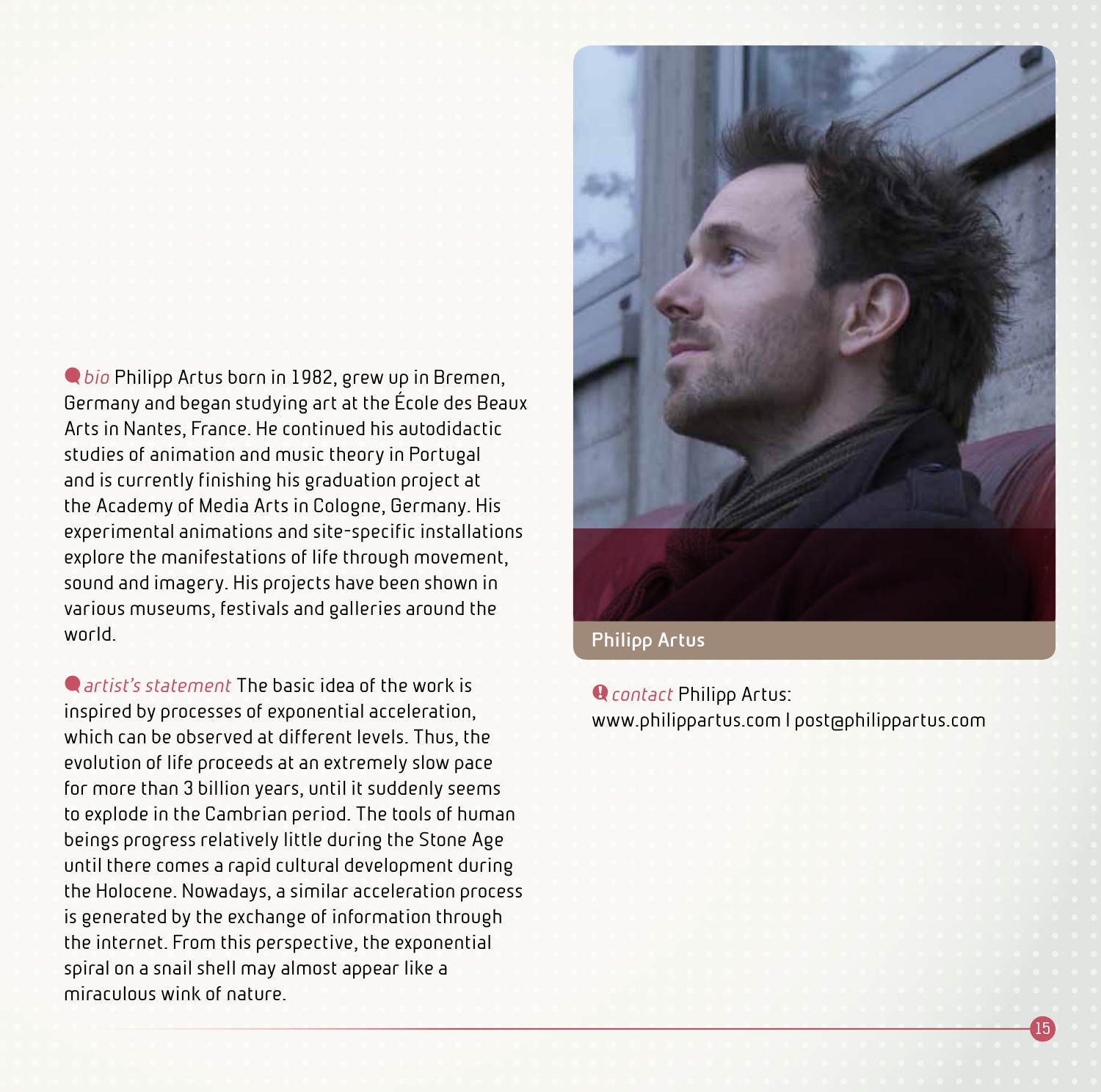Chio Philipp Artus born in 1982, grew up in Bremen, Germany and began studying art at the École des Beaux Arts in Nantes, France. He continued his autodidactic studies of animation and music theory in Portugal and is currently finishing his graduation project at the Academy of Media Arts in Cologne, Germany. His experimental animations and site-specific installations explore the manifestations of life through movement, sound and imagery. His projects have been shown in various museums, festivals and galleries around the world.

**Q** artist's statement The basic idea of the work is inspired by processes of exponential acceleration, which can be observed at different levels. Thus, the evolution of life proceeds at an extremely slow pace for more than 3 billion years, until it suddenly seems to explode in the Cambrian period. The tools of human beings progress relatively little during the Stone Age until there comes a rapid cultural development during the Holocene. Nowadays, a similar acceleration process is generated by the exchange of information through the internet. From this perspective, the exponential spiral on a snail shell may almost appear like a miraculous wink of nature.



**Q** contact Philipp Artus: www.philippartus.com | post@philippartus.com

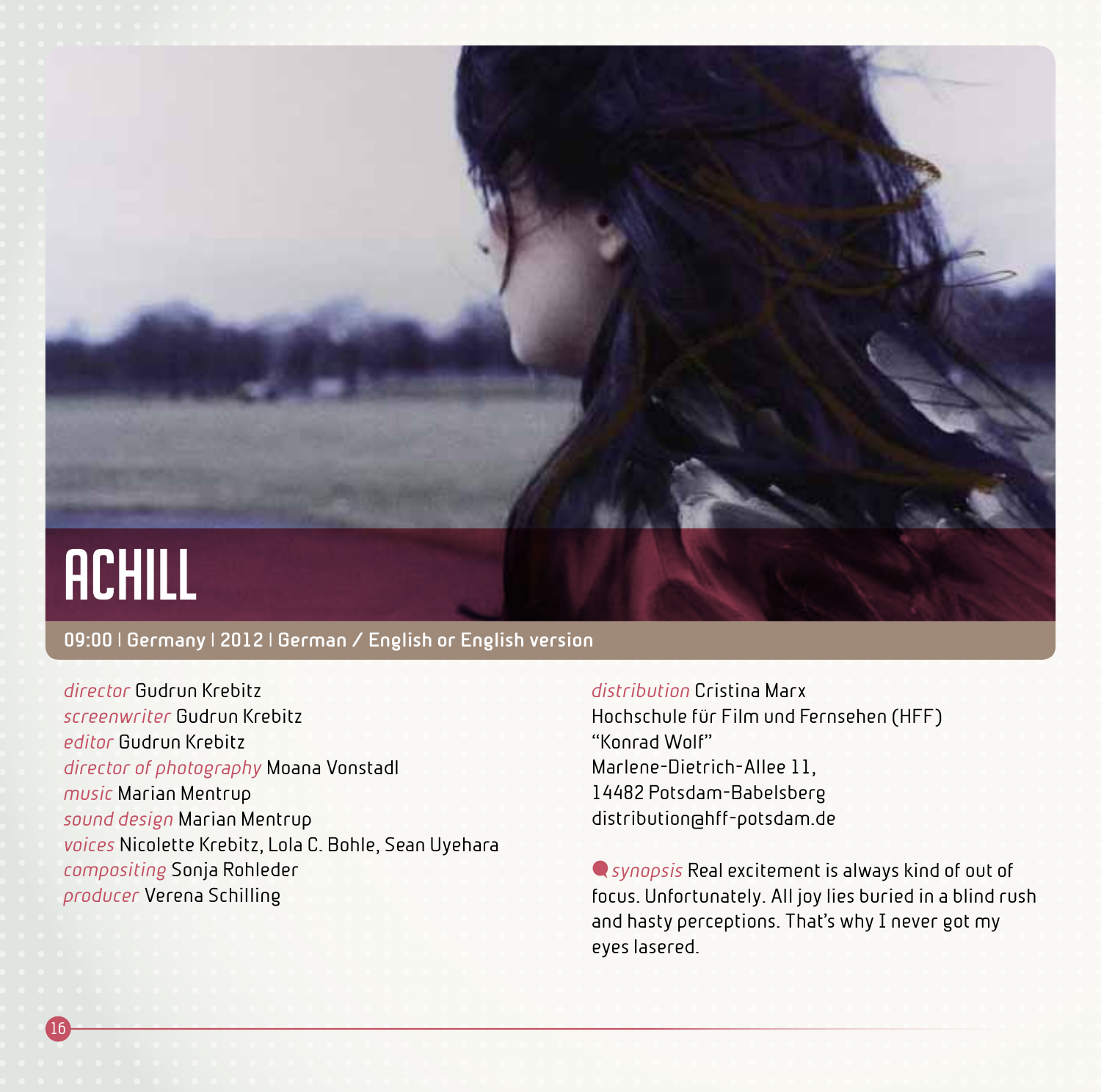

### **09:00** | **Germany** | **2012** | **German / English or English version**

director Gudrun Krebitz screenwriter Gudrun Krebitz editor Gudrun Krebitz director of photography Moana Vonstadl music Marian Mentrup sound design Marian Mentrup voices Nicolette Krebitz, Lola C. Bohle, Sean Uyehara compositing Sonja Rohleder producer Verena Schilling

distribution Cristina Marx Hochschule für Film und Fernsehen (HFF) "Konrad Wolf" Marlene-Dietrich-Allee 11, 14482 Potsdam-Babelsberg distribution@hff-potsdam.de

synopsis Real excitement is always kind of out of focus. Unfortunately. All joy lies buried in a blind rush and hasty perceptions. That's why I never got my eyes lasered.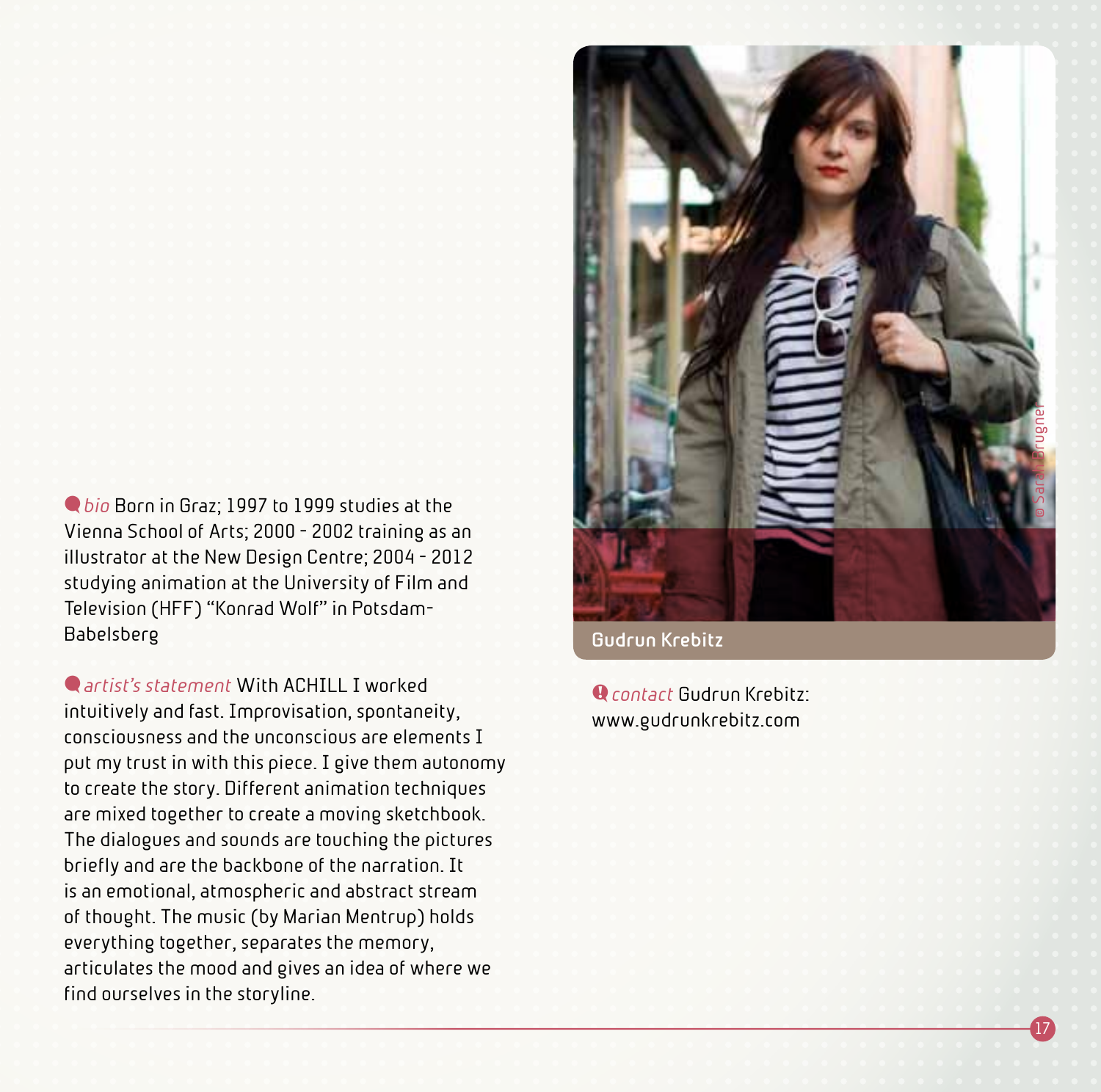$\bullet$  bio Born in Graz; 1997 to 1999 studies at the Vienna School of Arts; 2000 - 2002 training as an illustrator at the New Design Centre; 2004 - 2012 studying animation at the University of Film and Television (HFF) "Konrad Wolf" in Potsdam-Babelsberg

**Oactist's statement With ACHILL I worked** intuitively and fast. Improvisation, spontaneity, consciousness and the unconscious are elements I put my trust in with this piece. I give them autonomy to create the story. Different animation techniques are mixed together to create a moving sketchbook. The dialogues and sounds are touching the pictures briefly and are the backbone of the narration. It is an emotional, atmospheric and abstract stream of thought. The music (by Marian Mentrup) holds everything together, separates the memory, articulates the mood and gives an idea of where we find ourselves in the storyline.



**Gudrun Krebitz**

**Q** contact Gudrun Krebitz: www.gudrunkrebitz.com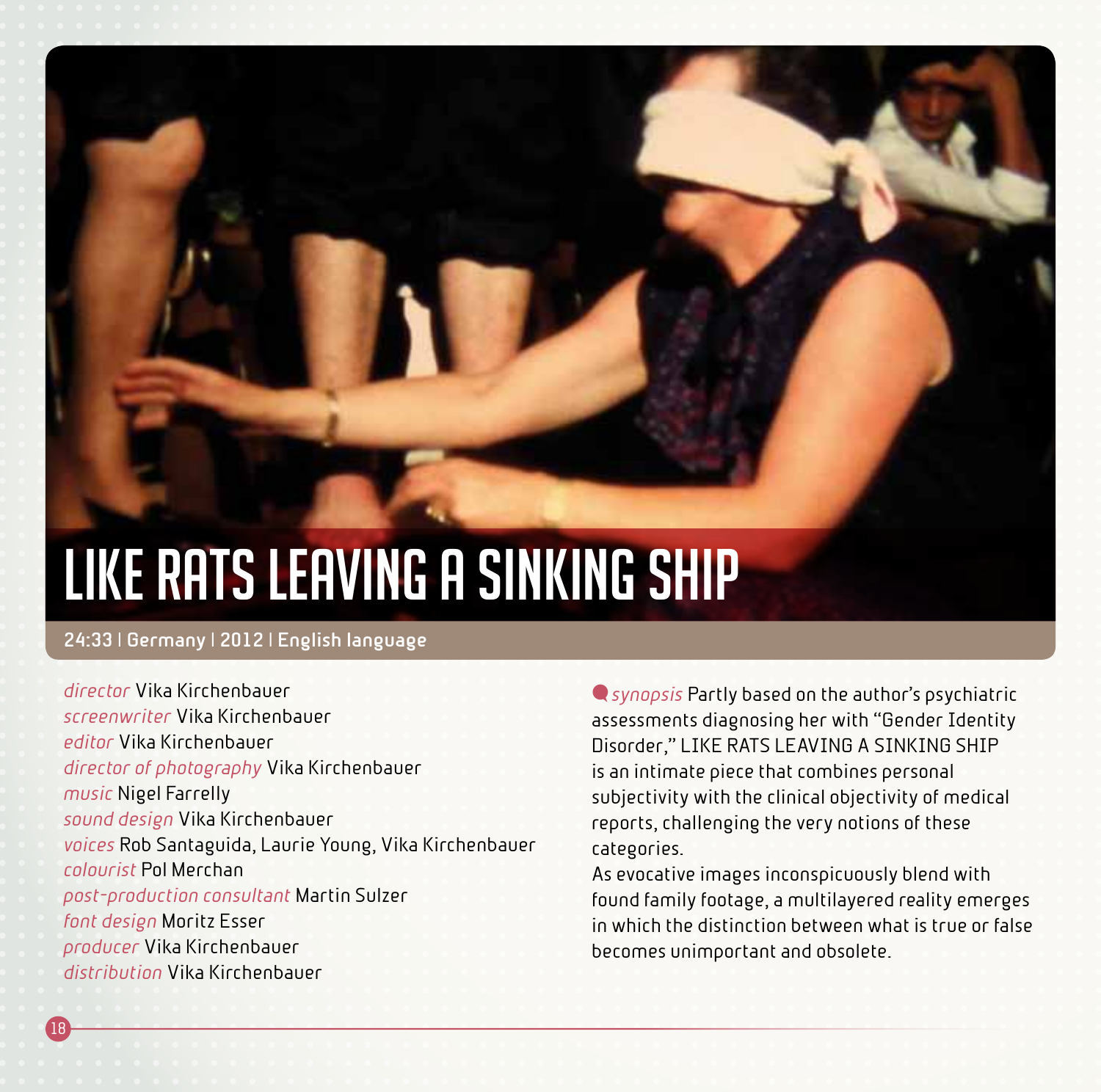### LIKE RATS LEAVING A SINKING SHIP

### **24:33** | **Germany** | **2012** | **English language**

director Vika Kirchenbauer screenwriter Vika Kirchenbauer editor Vika Kirchenbauer director of photography Vika Kirchenbauer music Nigel Farrelly sound design Vika Kirchenbauer voices Rob Santaguida, Laurie Young, Vika Kirchenbauer colourist Pol Merchan post-production consultant Martin Sulzer font design Moritz Esser producer Vika Kirchenbauer distribution Vika Kirchenbauer

**Q** synopsis Partly based on the author's psychiatric assessments diagnosing her with "Gender Identity Disorder," Like Rats Leaving a Sinking Ship is an intimate piece that combines personal subjectivity with the clinical objectivity of medical reports, challenging the very notions of these categories.

As evocative images inconspicuously blend with found family footage, a multilayered reality emerges in which the distinction between what is true or false becomes unimportant and obsolete.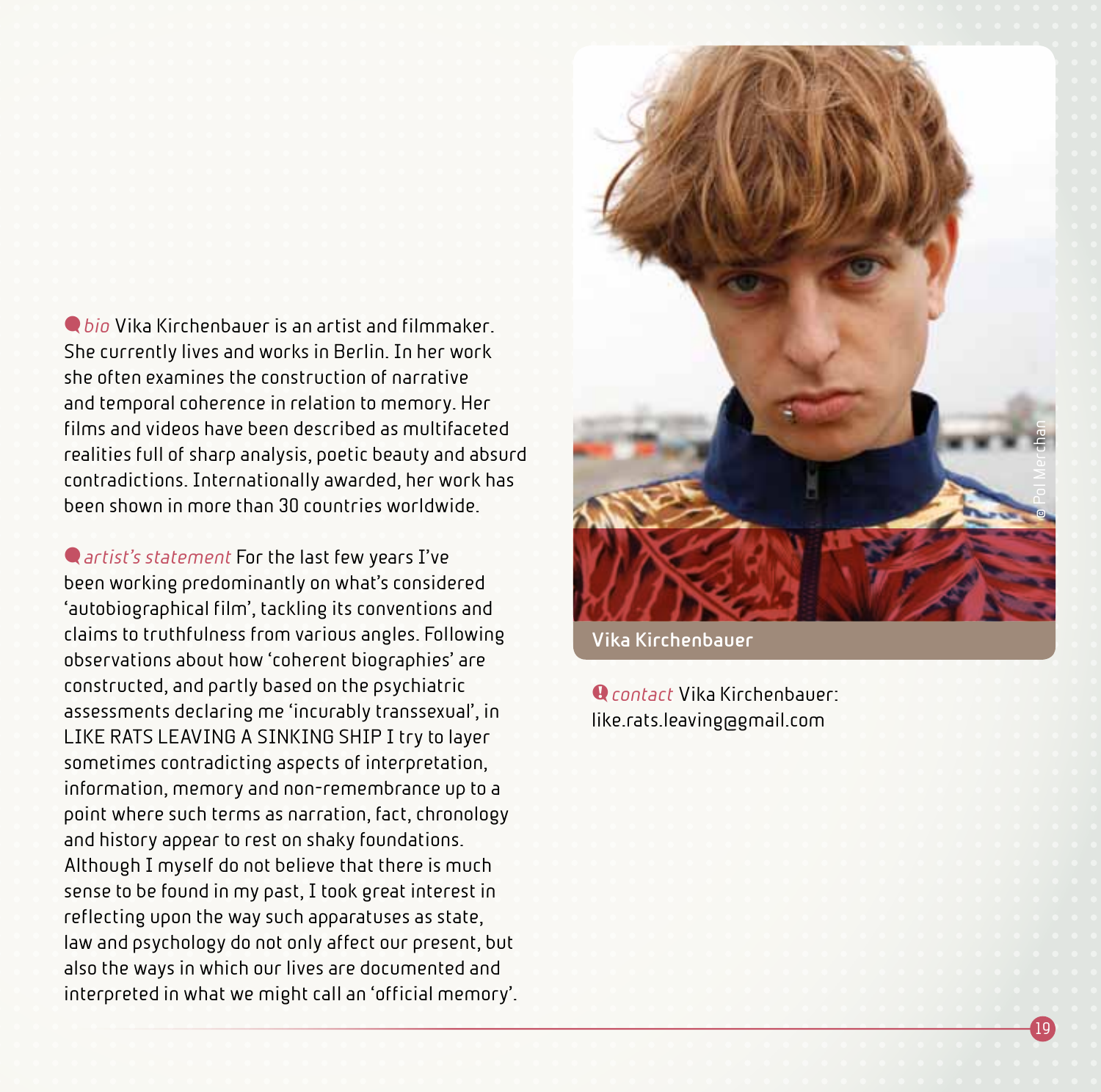$\bullet$  bio Vika Kirchenbauer is an artist and filmmaker. She currently lives and works in Berlin. In her work she often examines the construction of narrative and temporal coherence in relation to memory. Her films and videos have been described as multifaceted realities full of sharp analysis, poetic beauty and absurd contradictions. Internationally awarded, her work has been shown in more than 30 countries worldwide.

**Qartist's statement For the last few years I've** been working predominantly on what's considered 'autobiographical film', tackling its conventions and claims to truthfulness from various angles. Following observations about how 'coherent biographies' are constructed, and partly based on the psychiatric assessments declaring me 'incurably transsexual', in Like Rats Leaving a Sinking Ship I try to layer sometimes contradicting aspects of interpretation, information, memory and non-remembrance up to a point where such terms as narration, fact, chronology and history appear to rest on shaky foundations. Although I myself do not believe that there is much sense to be found in my past, I took great interest in reflecting upon the way such apparatuses as state, law and psychology do not only affect our present, but also the ways in which our lives are documented and interpreted in what we might call an 'official memory'.



**Vika Kirchenbauer**

**Q** contact Vika Kirchenbauer: like.rats.leavine@email.com